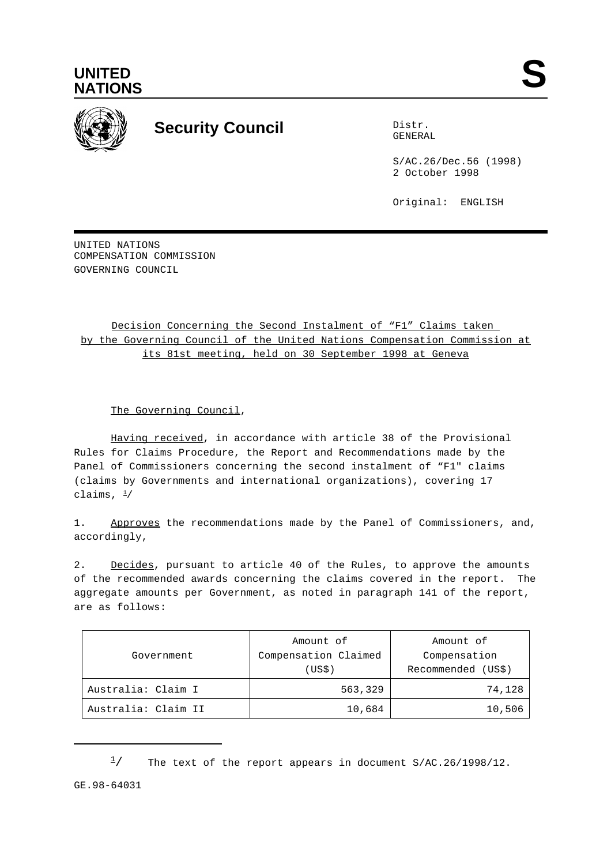



## **Security Council** Distribution

GENERAL

S/AC.26/Dec.56 (1998) 2 October 1998

Original: ENGLISH

UNITED NATIONS COMPENSATION COMMISSION GOVERNING COUNCIL

## Decision Concerning the Second Instalment of "F1" Claims taken by the Governing Council of the United Nations Compensation Commission at its 81st meeting, held on 30 September 1998 at Geneva

The Governing Council,

Having received, in accordance with article 38 of the Provisional Rules for Claims Procedure, the Report and Recommendations made by the Panel of Commissioners concerning the second instalment of "F1" claims (claims by Governments and international organizations), covering 17 claims,  $\frac{1}{2}$ 

1. Approves the recommendations made by the Panel of Commissioners, and, accordingly,

2. Decides, pursuant to article 40 of the Rules, to approve the amounts of the recommended awards concerning the claims covered in the report. The aggregate amounts per Government, as noted in paragraph 141 of the report, are as follows:

| Government          | Amount of<br>Compensation Claimed<br>(USS) | Amount of<br>Compensation<br>Recommended (US\$) |
|---------------------|--------------------------------------------|-------------------------------------------------|
| Australia: Claim I  | 563,329                                    | 74,128                                          |
| Australia: Claim II | 10,684                                     | 10,506                                          |

 $\frac{1}{2}$  The text of the report appears in document S/AC.26/1998/12.

GE.98-64031